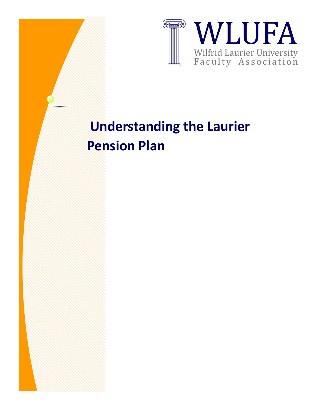

## **Understanding the Laurier Pension Plan**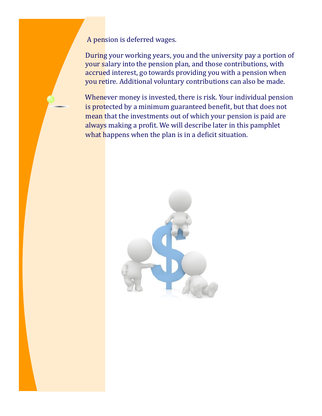A pension is deferred wages.

During your working years, you and the university pay a portion of your salary into the pension plan, and those contributions, with accrued interest, go towards providing you with a pension when you retire. Additional voluntary contributions can also be made.

Whenever money is invested, there is risk. Your individual pension is protected by a minimum guaranteed benefit, but that does not mean that the investments out of which your pension is paid are always making a profit. We will describe later in this pamphlet what happens when the plan is in a deficit situation.

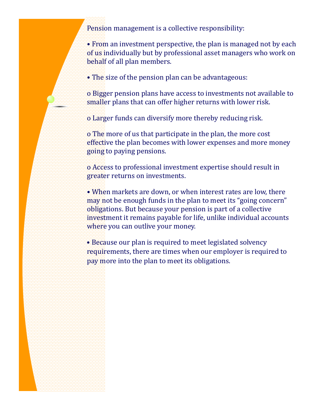Pension management is a collective responsibility:

• From an investment perspective, the plan is managed not by each of us individually but by professional asset managers who work on behalf of all plan members.

• The size of the pension plan can be advantageous:

o Bigger pension plans have access to investments not available to smaller plans that can offer higher returns with lower risk.

o Larger funds can diversify more thereby reducing risk.

o The more of us that participate in the plan, the more cost effective the plan becomes with lower expenses and more money going to paying pensions.

o Access to professional investment expertise should result in greater returns on investments.

• When markets are down, or when interest rates are low, there may not be enough funds in the plan to meet its "going concern" obligations. But because your pension is part of a collective investment it remains payable for life, unlike individual accounts where you can outlive your money.

• Because our plan is required to meet legislated solvency requirements, there are times when our employer is required to pay more into the plan to meet its obligations.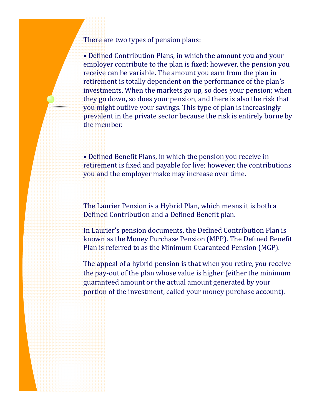There are two types of pension plans:

• Defined Contribution Plans, in which the amount you and your employer contribute to the plan is fixed; however, the pension you receive can be variable. The amount you earn from the plan in retirement is totally dependent on the performance of the plan's investments. When the markets go up, so does your pension; when they go down, so does your pension, and there is also the risk that you might outlive your savings. This type of plan is increasingly prevalent in the private sector because the risk is entirely borne by the member.

• Defined Benefit Plans, in which the pension you receive in retirement is fixed and payable for live; however, the contributions you and the employer make may increase over time.

The Laurier Pension is a Hybrid Plan, which means it is both a Defined Contribution and a Defined Benefit plan.

In Laurier's pension documents, the Defined Contribution Plan is known as the Money Purchase Pension (MPP). The Defined Benefit Plan is referred to as the Minimum Guaranteed Pension (MGP).

The appeal of a hybrid pension is that when you retire, you receive the pay-out of the plan whose value is higher (either the minimum guaranteed amount or the actual amount generated by your portion of the investment, called your money purchase account).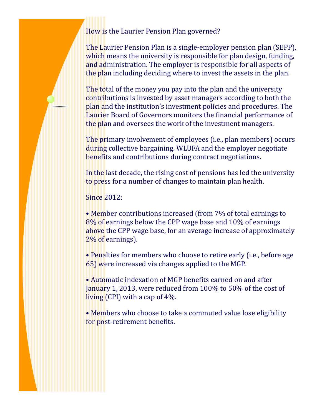## How is the Laurier Pension Plan governed?

The Laurier Pension Plan is a single-employer pension plan (SEPP), which means the university is responsible for plan design, funding, and administration. The employer is responsible for all aspects of the plan including deciding where to invest the assets in the plan.

The total of the money you pay into the plan and the university contributions is invested by asset managers according to both the plan and the institution's investment policies and procedures. The Laurier Board of Governors monitors the financial performance of the plan and oversees the work of the investment managers.

The primary involvement of employees (i.e., plan members) occurs during collective bargaining. WLUFA and the employer negotiate benefits and contributions during contract negotiations.

In the last decade, the rising cost of pensions has led the university to press for a number of changes to maintain plan health.

Since 2012:

• Member contributions increased (from 7% of total earnings to 8% of earnings below the CPP wage base and 10% of earnings above the CPP wage base, for an average increase of approximately 2% of earnings).

• Penalties for members who choose to retire early (i.e., before age 65) were increased via changes applied to the MGP.

• Automatic indexation of MGP benefits earned on and after January 1, 2013, were reduced from 100% to 50% of the cost of living (CPI) with a cap of 4%.

• Members who choose to take a commuted value lose eligibility for post-retirement benefits.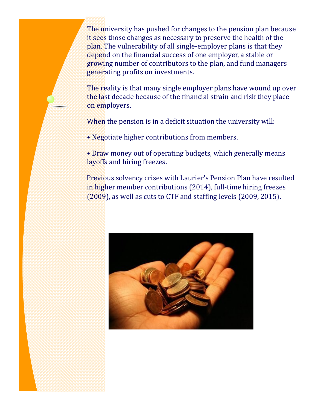The university has pushed for changes to the pension plan because it sees those changes as necessary to preserve the health of the plan. The vulnerability of all single-employer plans is that they depend on the financial success of one employer, a stable or growing number of contributors to the plan, and fund managers generating profits on investments.

The reality is that many single employer plans have wound up over the last decade because of the financial strain and risk they place on employers.

When the pension is in a deficit situation the university will:

• Negotiate higher contributions from members.

• Draw money out of operating budgets, which generally means layoffs and hiring freezes.

Previous solvency crises with Laurier's Pension Plan have resulted in higher member contributions (2014), full-time hiring freezes (2009), as well as cuts to CTF and staffing levels (2009, 2015).

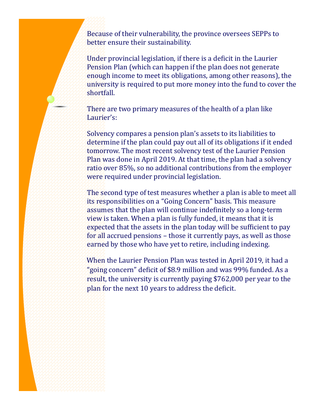Because of their vulnerability, the province oversees SEPPs to better ensure their sustainability.

Under provincial legislation, if there is a deficit in the Laurier Pension Plan (which can happen if the plan does not generate enough income to meet its obligations, among other reasons), the university is required to put more money into the fund to cover the shortfall.

There are two primary measures of the health of a plan like Laurier's:

Solvency compares a pension plan's assets to its liabilities to determine if the plan could pay out all of its obligations if it ended tomorrow. The most recent solvency test of the Laurier Pension Plan was done in April 2019. At that time, the plan had a solvency ratio over 85%, so no additional contributions from the employer were required under provincial legislation.

The second type of test measures whether a plan is able to meet all its responsibilities on a "Going Concern" basis. This measure assumes that the plan will continue indefinitely so a long-term view is taken. When a plan is fully funded, it means that it is expected that the assets in the plan today will be sufficient to pay for all accrued pensions – those it currently pays, as well as those earned by those who have yet to retire, including indexing.

When the Laurier Pension Plan was tested in April 2019, it had a "going concern" deficit of \$8.9 million and was 99% funded. As a result, the university is currently paying \$762,000 per year to the plan for the next 10 years to address the deficit.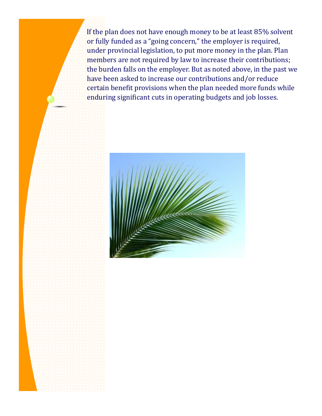If the plan does not have enough money to be at least 85% solvent or fully funded as a "going concern," the employer is required, under provincial legislation, to put more money in the plan. Plan members are not required by law to increase their contributions; the burden falls on the employer. But as noted above, in the past we have been asked to increase our contributions and/or reduce certain benefit provisions when the plan needed more funds while enduring significant cuts in operating budgets and job losses.